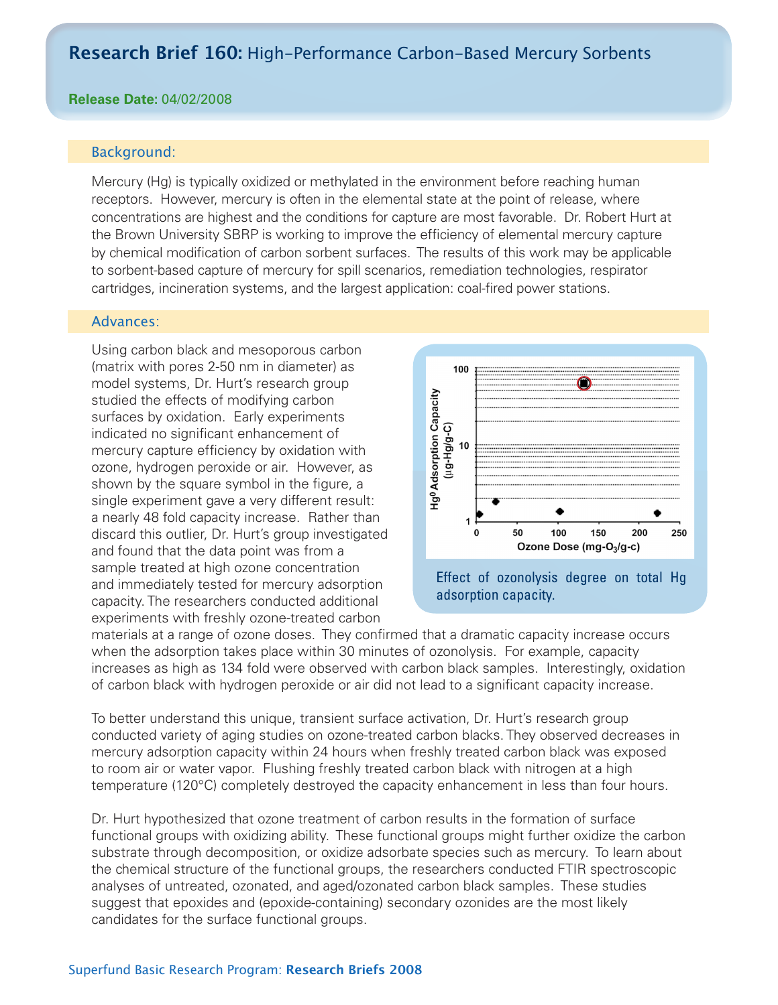# **Research Brief 160:** High-Performance Carbon-Based Mercury Sorbents

### **Release Date:** 04/02/2008

### Background:

Mercury (Hg) is typically oxidized or methylated in the environment before reaching human receptors. However, mercury is often in the elemental state at the point of release, where concentrations are highest and the conditions for capture are most favorable. Dr. Robert Hurt at the Brown University SBRP is working to improve the efficiency of elemental mercury capture by chemical modification of carbon sorbent surfaces. The results of this work may be applicable to sorbent-based capture of mercury for spill scenarios, remediation technologies, respirator cartridges, incineration systems, and the largest application: coal-fired power stations.

#### Advances:

Using carbon black and mesoporous carbon (matrix with pores 2-50 nm in diameter) as model systems, Dr. Hurt's research group studied the effects of modifying carbon surfaces by oxidation. Early experiments indicated no significant enhancement of mercury capture efficiency by oxidation with ozone, hydrogen peroxide or air. However, as shown by the square symbol in the figure, a single experiment gave a very different result: a nearly 48 fold capacity increase. Rather than discard this outlier, Dr. Hurt's group investigated and found that the data point was from a sample treated at high ozone concentration and immediately tested for mercury adsorption capacity. The researchers conducted additional experiments with freshly ozone-treated carbon



materials at a range of ozone doses. They confirmed that a dramatic capacity increase occurs when the adsorption takes place within 30 minutes of ozonolysis. For example, capacity increases as high as 134 fold were observed with carbon black samples. Interestingly, oxidation of carbon black with hydrogen peroxide or air did not lead to a significant capacity increase.

To better understand this unique, transient surface activation, Dr. Hurt's research group conducted variety of aging studies on ozone-treated carbon blacks. They observed decreases in mercury adsorption capacity within 24 hours when freshly treated carbon black was exposed to room air or water vapor. Flushing freshly treated carbon black with nitrogen at a high temperature (120°C) completely destroyed the capacity enhancement in less than four hours.

Dr. Hurt hypothesized that ozone treatment of carbon results in the formation of surface functional groups with oxidizing ability. These functional groups might further oxidize the carbon substrate through decomposition, or oxidize adsorbate species such as mercury. To learn about the chemical structure of the functional groups, the researchers conducted FTIR spectroscopic analyses of untreated, ozonated, and aged/ozonated carbon black samples. These studies suggest that epoxides and (epoxide-containing) secondary ozonides are the most likely candidates for the surface functional groups.